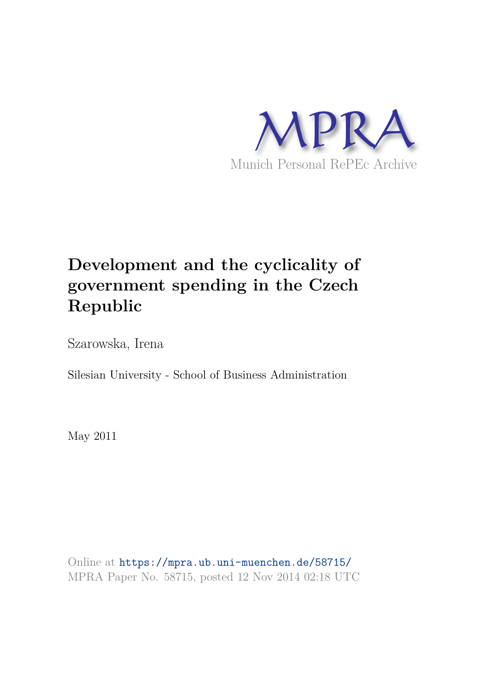

# **Development and the cyclicality of government spending in the Czech Republic**

Szarowska, Irena

Silesian University - School of Business Administration

May 2011

Online at https://mpra.ub.uni-muenchen.de/58715/ MPRA Paper No. 58715, posted 12 Nov 2014 02:18 UTC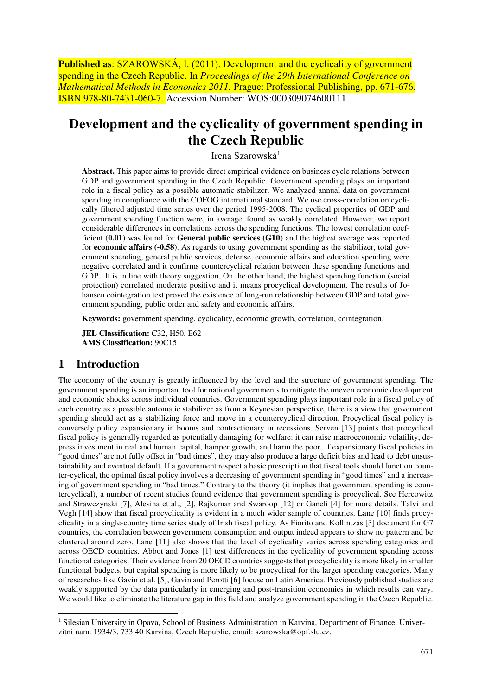**Published as: SZAROWSKÁ, I. (2011). Development and the cyclicality of government** spending in the Czech Republic. In *Proceedings of the 29th International Conference on Mathematical Methods in Economics 2011.* Prague: Professional Publishing, pp. 671-676. ISBN 978-80-7431-060-7. Accession Number: WOS:000309074600111

# **Development and the cyclicality of government spending in the Czech Republic**

Irena Szarowská<sup>1</sup>

**Abstract.** This paper aims to provide direct empirical evidence on business cycle relations between GDP and government spending in the Czech Republic. Government spending plays an important role in a fiscal policy as a possible automatic stabilizer. We analyzed annual data on government spending in compliance with the COFOG international standard. We use cross-correlation on cyclically filtered adjusted time series over the period 1995-2008. The cyclical properties of GDP and government spending function were, in average, found as weakly correlated. However, we report considerable differences in correlations across the spending functions. The lowest correlation coefficient (**0.01**) was found for **General public services (G10**) and the highest average was reported for **economic affairs (-0.58**). As regards to using government spending as the stabilizer, total government spending, general public services, defense, economic affairs and education spending were negative correlated and it confirms countercyclical relation between these spending functions and GDP. It is in line with theory suggestion. On the other hand, the highest spending function (social protection) correlated moderate positive and it means procyclical development. The results of Johansen cointegration test proved the existence of long-run relationship between GDP and total government spending, public order and safety and economic affairs.

**Keywords:** government spending, cyclicality, economic growth, correlation, cointegration.

**JEL Classification:** C32, H50, E62 **AMS Classification:** 90C15

## **1 Introduction**

-

The economy of the country is greatly influenced by the level and the structure of government spending. The government spending is an important tool for national governments to mitigate the uneven economic development and economic shocks across individual countries. Government spending plays important role in a fiscal policy of each country as a possible automatic stabilizer as from a Keynesian perspective, there is a view that government spending should act as a stabilizing force and move in a countercyclical direction. Procyclical fiscal policy is conversely policy expansionary in booms and contractionary in recessions. Serven [13] points that procyclical fiscal policy is generally regarded as potentially damaging for welfare: it can raise macroeconomic volatility, depress investment in real and human capital, hamper growth, and harm the poor. If expansionary fiscal policies in "good times" are not fully offset in "bad times", they may also produce a large deficit bias and lead to debt unsustainability and eventual default. If a government respect a basic prescription that fiscal tools should function counter-cyclical, the optimal fiscal policy involves a decreasing of government spending in "good times" and a increasing of government spending in "bad times." Contrary to the theory (it implies that government spending is countercyclical), a number of recent studies found evidence that government spending is procyclical. See Hercowitz and Strawczynski [7], Alesina et al., [2], Rajkumar and Swaroop [12] or Ganeli [4] for more details. Talvi and Vegh [14] show that fiscal procyclicality is evident in a much wider sample of countries. Lane [10] finds procyclicality in a single-country time series study of Irish fiscal policy. As Fiorito and Kollintzas [3] document for G7 countries, the correlation between government consumption and output indeed appears to show no pattern and be clustered around zero. Lane [11] also shows that the level of cyclicality varies across spending categories and across OECD countries. Abbot and Jones [1] test differences in the cyclicality of government spending across functional categories. Their evidence from 20 OECD countries suggests that procyclicality is more likely in smaller functional budgets, but capital spending is more likely to be procyclical for the larger spending categories. Many of researches like Gavin et al. [5], Gavin and Perotti [6] focuse on Latin America. Previously published studies are weakly supported by the data particularly in emerging and post-transition economies in which results can vary. We would like to eliminate the literature gap in this field and analyze government spending in the Czech Republic.

<sup>&</sup>lt;sup>1</sup> Silesian University in Opava, School of Business Administration in Karvina, Department of Finance, Univerzitni nam. 1934/3, 733 40 Karvina, Czech Republic, email: szarowska@opf.slu.cz.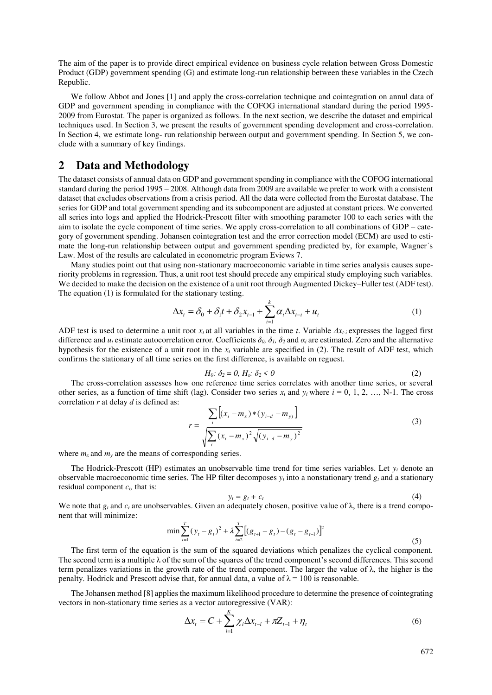The aim of the paper is to provide direct empirical evidence on business cycle relation between Gross Domestic Product (GDP) government spending (G) and estimate long-run relationship between these variables in the Czech Republic.

We follow Abbot and Jones [1] and apply the cross-correlation technique and cointegration on annul data of GDP and government spending in compliance with the COFOG international standard during the period 1995- 2009 from Eurostat. The paper is organized as follows. In the next section, we describe the dataset and empirical techniques used. In Section 3, we present the results of government spending development and cross-correlation. In Section 4, we estimate long- run relationship between output and government spending. In Section 5, we conclude with a summary of key findings.

#### **2 Data and Methodology**

The dataset consists of annual data on GDP and government spending in compliance with the COFOG international standard during the period 1995 – 2008. Although data from 2009 are available we prefer to work with a consistent dataset that excludes observations from a crisis period. All the data were collected from the Eurostat database. The series for GDP and total government spending and its subcomponent are adjusted at constant prices. We converted all series into logs and applied the Hodrick-Prescott filter with smoothing parameter 100 to each series with the aim to isolate the cycle component of time series. We apply cross-correlation to all combinations of GDP – category of government spending. Johansen cointegration test and the error correction model (ECM) are used to estimate the long-run relationship between output and government spending predicted by, for example, Wagner´s Law. Most of the results are calculated in econometric program Eviews 7.

Many studies point out that using non-stationary macroeconomic variable in time series analysis causes superiority problems in regression. Thus, a unit root test should precede any empirical study employing such variables. We decided to make the decision on the existence of a unit root through Augmented Dickey–Fuller test (ADF test). The equation (1) is formulated for the stationary testing.

$$
\Delta x_t = \delta_0 + \delta_1 t + \delta_2 x_{t-1} + \sum_{i=1}^k \alpha_i \Delta x_{t-i} + u_t
$$
\n(1)

ADF test is used to determine a unit root *x<sup>t</sup>* at all variables in the time *t*. Variable *Δxt-i* expresses the lagged first difference and  $u_t$  estimate autocorrelation error. Coefficients  $\delta_0$ ,  $\delta_1$ ,  $\delta_2$  and  $\alpha_i$  are estimated. Zero and the alternative hypothesis for the existence of a unit root in the *xt* variable are specified in (2). The result of ADF test, which confirms the stationary of all time series on the first difference, is available on reguest.

$$
H_0: \delta_2 = 0, H_\varepsilon: \delta_2 < 0 \tag{2}
$$

The cross-correlation assesses how one reference time series correlates with another time series, or several other series, as a function of time shift (lag). Consider two series  $x_i$  and  $y_i$  where  $i = 0, 1, 2, ..., N-1$ . The cross correlation *r* at delay *d* is defined as:

$$
r = \frac{\sum_{i} \left[ (x_i - m_x) * (y_{i-d} - m_y) \right]}{\sqrt{\sum_{i} (x_i - m_x)^2} \sqrt{(y_{i-d} - m_y)^2}}
$$
(3)

where  $m_x$  and  $m_y$  are the means of corresponding series.

The Hodrick-Prescott (HP) estimates an unobservable time trend for time series variables. Let  $y_t$  denote an observable macroeconomic time series. The HP filter decomposes  $y_t$  into a nonstationary trend  $g_t$  and a stationary residual component *ct,* that is:

$$
y_t = g_t + c_t \tag{4}
$$

We note that  $g_t$  and  $c_t$  are unobservables. Given an adequately chosen, positive value of  $\lambda$ , there is a trend component that will minimize:

$$
\min \sum_{t=1}^{T} (y_t - g_t)^2 + \lambda \sum_{t=2}^{T} [(g_{t+1} - g_t) - (g_t - g_{t-1})]^2
$$
\n(5)

The first term of the equation is the sum of the squared deviations which penalizes the cyclical component. The second term is a multiple λ of the sum of the squares of the trend component's second differences. This second term penalizes variations in the growth rate of the trend component. The larger the value of  $\lambda$ , the higher is the penalty. Hodrick and Prescott advise that, for annual data, a value of  $\lambda = 100$  is reasonable.

The Johansen method [8] applies the maximum likelihood procedure to determine the presence of cointegrating vectors in non-stationary time series as a vector autoregressive (VAR):

$$
\Delta x_t = C + \sum_{i=1}^K \chi_i \Delta x_{t-i} + \pi Z_{t-1} + \eta_t
$$
\n
$$
(6)
$$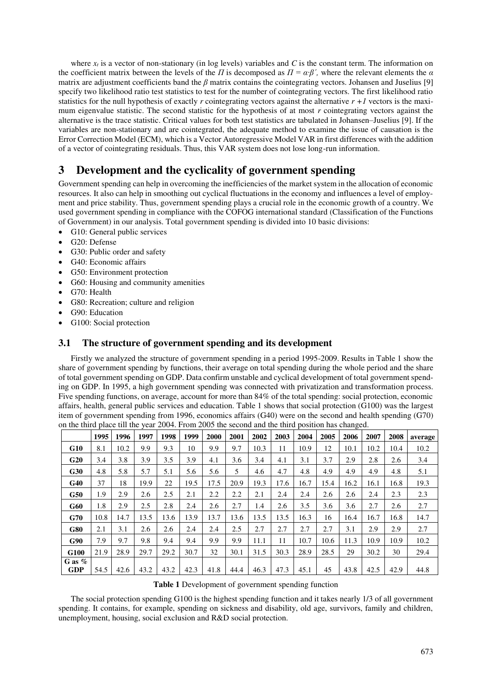where  $x_t$  is a vector of non-stationary (in log levels) variables and C is the constant term. The information on the coefficient matrix between the levels of the *Π* is decomposed as  $\Pi = \alpha \cdot \beta'$ , where the relevant elements the  $\alpha$ matrix are adjustment coefficients band the *β* matrix contains the cointegrating vectors. Johansen and Juselius [9] specify two likelihood ratio test statistics to test for the number of cointegrating vectors. The first likelihood ratio statistics for the null hypothesis of exactly *r* cointegrating vectors against the alternative  $r + 1$  vectors is the maximum eigenvalue statistic. The second statistic for the hypothesis of at most *r* cointegrating vectors against the alternative is the trace statistic. Critical values for both test statistics are tabulated in Johansen–Juselius [9]. If the variables are non-stationary and are cointegrated, the adequate method to examine the issue of causation is the Error Correction Model (ECM), which is a Vector Autoregressive Model VAR in first differences with the addition of a vector of cointegrating residuals. Thus, this VAR system does not lose long-run information.

# **3 Development and the cyclicality of government spending**

Government spending can help in overcoming the inefficiencies of the market system in the allocation of economic resources. It also can help in smoothing out cyclical fluctuations in the economy and influences a level of employment and price stability. Thus, government spending plays a crucial role in the economic growth of a country. We used government spending in compliance with the COFOG international standard (Classification of the Functions of Government) in our analysis. Total government spending is divided into 10 basic divisions:

- G10: General public services
- G20: Defense
- G30: Public order and safety
- G40: Economic affairs
- G50: Environment protection
- G60: Housing and community amenities
- G70: Health
- G80: Recreation; culture and religion
- G90: Education
- G100: Social protection

#### **3.1 The structure of government spending and its development**

Firstly we analyzed the structure of government spending in a period 1995-2009. Results in Table 1 show the share of government spending by functions, their average on total spending during the whole period and the share of total government spending on GDP. Data confirm unstable and cyclical development of total government spending on GDP. In 1995, a high government spending was connected with privatization and transformation process. Five spending functions, on average, account for more than 84% of the total spending: social protection, economic affairs, health, general public services and education. Table 1 shows that social protection (G100) was the largest item of government spending from 1996, economics affairs (G40) were on the second and health spending (G70) on the third place till the year 2004. From 2005 the second and the third position has changed.

|                        | 1995 | 1996 | 1997 | 1998 | 1999 | 2000 | 2001 | 2002 | 2003 | 2004 | 2005 | 2006 | 2007 | 2008 | average |
|------------------------|------|------|------|------|------|------|------|------|------|------|------|------|------|------|---------|
| G10                    | 8.1  | 10.2 | 9.9  | 9.3  | 10   | 9.9  | 9.7  | 10.3 | 11   | 10.9 | 12   | 10.1 | 10.2 | 10.4 | 10.2    |
| G20                    | 3.4  | 3.8  | 3.9  | 3.5  | 3.9  | 4.1  | 3.6  | 3.4  | 4.1  | 3.1  | 3.7  | 2.9  | 2.8  | 2.6  | 3.4     |
| G30                    | 4.8  | 5.8  | 5.7  | 5.1  | 5.6  | 5.6  | 5    | 4.6  | 4.7  | 4.8  | 4.9  | 4.9  | 4.9  | 4.8  | 5.1     |
| G40                    | 37   | 18   | 19.9 | 22   | 19.5 | 17.5 | 20.9 | 19.3 | 17.6 | .6.7 | 15.4 | 16.2 | 16.1 | 16.8 | 19.3    |
| G50                    | 1.9  | 2.9  | 2.6  | 2.5  | 2.1  | 2.2  | 2.2  | 2.1  | 2.4  | 2.4  | 2.6  | 2.6  | 2.4  | 2.3  | 2.3     |
| <b>G60</b>             | 1.8  | 2.9  | 2.5  | 2.8  | 2.4  | 2.6  | 2.7  | 1.4  | 2.6  | 3.5  | 3.6  | 3.6  | 2.7  | 2.6  | 2.7     |
| G70                    | 10.8 | 14.7 | 13.5 | 13.6 | 13.9 | 13.7 | 13.6 | 13.5 | 13.5 | 16.3 | 16   | 16.4 | 16.7 | 16.8 | 14.7    |
| <b>G80</b>             | 2.1  | 3.1  | 2.6  | 2.6  | 2.4  | 2.4  | 2.5  | 2.7  | 2.7  | 2.7  | 2.7  | 3.1  | 2.9  | 2.9  | 2.7     |
| G90                    | 7.9  | 9.7  | 9.8  | 9.4  | 9.4  | 9.9  | 9.9  | 11.1 | 11   | 10.7 | 10.6 | 11.3 | 10.9 | 10.9 | 10.2    |
| G100                   | 21.9 | 28.9 | 29.7 | 29.2 | 30.7 | 32   | 30.1 | 31.5 | 30.3 | 28.9 | 28.5 | 29   | 30.2 | 30   | 29.4    |
| G as $%$<br><b>GDP</b> | 54.5 | 42.6 | 43.2 | 43.2 | 42.3 | 41.8 | 44.4 | 46.3 | 47.3 | 45.1 | 45   | 43.8 | 42.5 | 42.9 | 44.8    |

**Table 1** Development of government spending function

The social protection spending G100 is the highest spending function and it takes nearly 1/3 of all government spending. It contains, for example, spending on sickness and disability, old age, survivors, family and children, unemployment, housing, social exclusion and R&D social protection.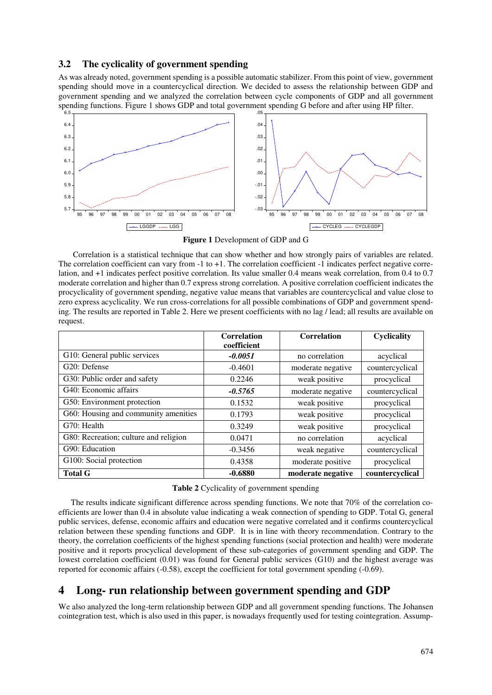#### **3.2 The cyclicality of government spending**

As was already noted, government spending is a possible automatic stabilizer. From this point of view, government spending should move in a countercyclical direction. We decided to assess the relationship between GDP and government spending and we analyzed the correlation between cycle components of GDP and all government spending functions. Figure 1 shows GDP and total government spending G before and after using HP filter.



**Figure 1** Development of GDP and G

 Correlation is a statistical technique that can show whether and how strongly pairs of variables are related. The correlation coefficient can vary from -1 to +1. The correlation coefficient -1 indicates perfect negative correlation, and +1 indicates perfect positive correlation. Its value smaller 0.4 means weak correlation, from 0.4 to 0.7 moderate correlation and higher than 0.7 express strong correlation. A positive correlation coefficient indicates the procyclicality of government spending, negative value means that variables are countercyclical and value close to zero express acyclicality. We run cross-correlations for all possible combinations of GDP and government spending. The results are reported in Table 2. Here we present coefficients with no lag / lead; all results are available on request.

|                                       | <b>Correlation</b><br>coefficient | <b>Correlation</b> | Cyclicality     |
|---------------------------------------|-----------------------------------|--------------------|-----------------|
| G10: General public services          | $-0.0051$                         | no correlation     | acyclical       |
| G20: Defense                          | $-0.4601$                         | moderate negative  | countercyclical |
| G30: Public order and safety          | 0.2246                            | weak positive      | procyclical     |
| G40: Economic affairs                 | $-0.5765$                         | moderate negative  | countercyclical |
| G50: Environment protection           | 0.1532                            | weak positive      | procyclical     |
| G60: Housing and community amenities  | 0.1793                            | weak positive      | procyclical     |
| G70: Health                           | 0.3249                            | weak positive      | procyclical     |
| G80: Recreation; culture and religion | 0.0471                            | no correlation     | acyclical       |
| G90: Education                        | $-0.3456$                         | weak negative      | countercyclical |
| G100: Social protection               | 0.4358                            | moderate positive  | procyclical     |
| <b>Total G</b>                        | $-0.6880$                         | moderate negative  | countercyclical |

**Table 2** Cyclicality of government spending

The results indicate significant difference across spending functions. We note that 70% of the correlation coefficients are lower than 0.4 in absolute value indicating a weak connection of spending to GDP. Total G, general public services, defense, economic affairs and education were negative correlated and it confirms countercyclical relation between these spending functions and GDP. It is in line with theory recommendation. Contrary to the theory, the correlation coefficients of the highest spending functions (social protection and health) were moderate positive and it reports procyclical development of these sub-categories of government spending and GDP. The lowest correlation coefficient (0.01) was found for General public services (G10) and the highest average was reported for economic affairs (-0.58), except the coefficient for total government spending (-0.69).

## **4 Long- run relationship between government spending and GDP**

We also analyzed the long-term relationship between GDP and all government spending functions. The Johansen cointegration test, which is also used in this paper, is nowadays frequently used for testing cointegration. Assump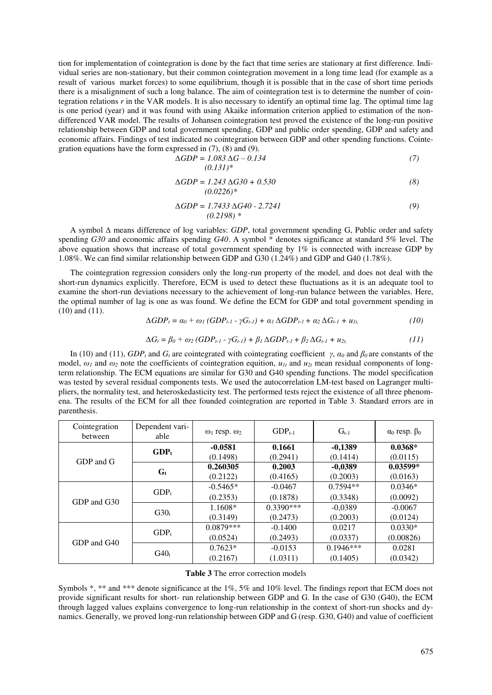tion for implementation of cointegration is done by the fact that time series are stationary at first difference. Individual series are non-stationary, but their common cointegration movement in a long time lead (for example as a result of various market forces) to some equilibrium, though it is possible that in the case of short time periods there is a misalignment of such a long balance. The aim of cointegration test is to determine the number of cointegration relations *r* in the VAR models. It is also necessary to identify an optimal time lag. The optimal time lag is one period (year) and it was found with using Akaike information criterion applied to estimation of the nondifferenced VAR model. The results of Johansen cointegration test proved the existence of the long-run positive relationship between GDP and total government spending, GDP and public order spending, GDP and safety and economic affairs. Findings of test indicated no cointegration between GDP and other spending functions. Cointegration equations have the form expressed in (7), (8) and (9).

$$
\Delta GDP = 1.083 \Delta G - 0.134
$$
\n
$$
(0.131)^{*}
$$
\n(7)

$$
\Delta GDP = 1.243 \Delta G30 + 0.530
$$
\n
$$
(0.0226)^{*}
$$
\n(8)

$$
\Delta GDP = 1.7433 \Delta G40 - 2.7241
$$
\n
$$
(0.2198) * \tag{9}
$$

A symbol ∆ means difference of log variables: *GDP*, total government spending G, Public order and safety spending *G30* and economic affairs spending *G40*. A symbol \* denotes significance at standard 5% level. The above equation shows that increase of total government spending by 1% is connected with increase GDP by 1.08%. We can find similar relationship between GDP and G30 (1.24%) and GDP and G40 (1.78%).

The cointegration regression considers only the long-run property of the model, and does not deal with the short-run dynamics explicitly. Therefore, ECM is used to detect these fluctuations as it is an adequate tool to examine the short-run deviations necessary to the achievement of long-run balance between the variables. Here, the optimal number of lag is one as was found. We define the ECM for GDP and total government spending in (10) and (11).

$$
\Delta GDP_t = a_0 + \omega_I (GDP_{t-1} - \gamma G_{t-1}) + a_1 \Delta GDP_{t-1} + a_2 \Delta G_{t-1} + u_{It},
$$
\n(10)

$$
\Delta G_t = \beta_0 + \omega_2 (GDP_{t-1} - \gamma G_{t-1}) + \beta_1 \Delta GDP_{t-1} + \beta_2 \Delta G_{t-1} + u_{2t}, \tag{11}
$$

In (10) and (11), *GDP<sub>t</sub>* and  $G_t$  are cointegrated with cointegrating coefficient  $\gamma$ ,  $\alpha_0$  and  $\beta_0$  are constants of the model,  $\omega_l$  and  $\omega_2$  note the coefficients of cointegration equition,  $u_{l_l}$  and  $u_{l_l}$  mean residual components of longterm relationship. The ECM equations are similar for G30 and G40 spending functions. The model specification was tested by several residual components tests. We used the autocorrelation LM-test based on Lagranger multipliers, the normality test, and heteroskedasticity test. The performed tests reject the existence of all three phenomena. The results of the ECM for all thee founded cointegration are reported in Table 3. Standard errors are in parenthesis.

| Cointegration<br>between | Dependent vari-<br>able | $\omega_1$ resp. $\omega_2$                                                                                                                                                                                                 | $GDP_{t-1}$ | $G_{t-1}$                                                                                                    | $\alpha_0$ resp. $\beta_0$ |
|--------------------------|-------------------------|-----------------------------------------------------------------------------------------------------------------------------------------------------------------------------------------------------------------------------|-------------|--------------------------------------------------------------------------------------------------------------|----------------------------|
|                          | $GDP_t$                 | $-0.0581$                                                                                                                                                                                                                   | 0.1661      | $-0,1389$                                                                                                    | $0.0368*$                  |
| GDP and G                |                         | (0.1498)<br>(0.2941)<br>0.260305<br>0.2003<br>(0.2122)<br>(0.4165)<br>$-0.5465*$<br>$-0.0467$<br>(0.2353)<br>(0.1878)<br>$0.3390***$<br>1.1608*<br>(0.3149)<br>(0.2473)<br>$0.0879***$<br>$-0.1400$<br>(0.0524)<br>(0.2493) | (0.1414)    | (0.0115)                                                                                                     |                            |
|                          | $G_t$                   |                                                                                                                                                                                                                             |             | $-0.0389$                                                                                                    | $0.03599*$                 |
|                          |                         |                                                                                                                                                                                                                             |             | (0.2003)<br>$0.7594**$<br>(0.3348)<br>$-0.0389$<br>(0.2003)<br>0.0217<br>(0.0337)<br>$0.1946***$<br>(0.1405) | (0.0163)                   |
|                          | GDP <sub>t</sub>        |                                                                                                                                                                                                                             |             |                                                                                                              | $0.0346*$                  |
| GDP and G30              |                         |                                                                                                                                                                                                                             |             |                                                                                                              | (0.0092)                   |
|                          | G30 <sub>t</sub>        |                                                                                                                                                                                                                             |             |                                                                                                              | $-0.0067$                  |
|                          |                         |                                                                                                                                                                                                                             |             |                                                                                                              | (0.0124)                   |
|                          |                         |                                                                                                                                                                                                                             |             |                                                                                                              | $0.0330*$                  |
|                          | $GDP_t$                 |                                                                                                                                                                                                                             |             |                                                                                                              | (0.00826)                  |
| GDP and G40              |                         | $0.7623*$                                                                                                                                                                                                                   | $-0.0153$   |                                                                                                              | 0.0281                     |
|                          | $G40_t$                 | (0.2167)                                                                                                                                                                                                                    | (1.0311)    |                                                                                                              | (0.0342)                   |

#### **Table 3** The error correction models

Symbols \*, \*\* and \*\*\* denote significance at the 1%, 5% and 10% level. The findings report that ECM does not provide significant results for short- run relationship between GDP and G. In the case of G30 (G40), the ECM through lagged values explains convergence to long-run relationship in the context of short-run shocks and dynamics. Generally, we proved long-run relationship between GDP and G (resp. G30, G40) and value of coefficient